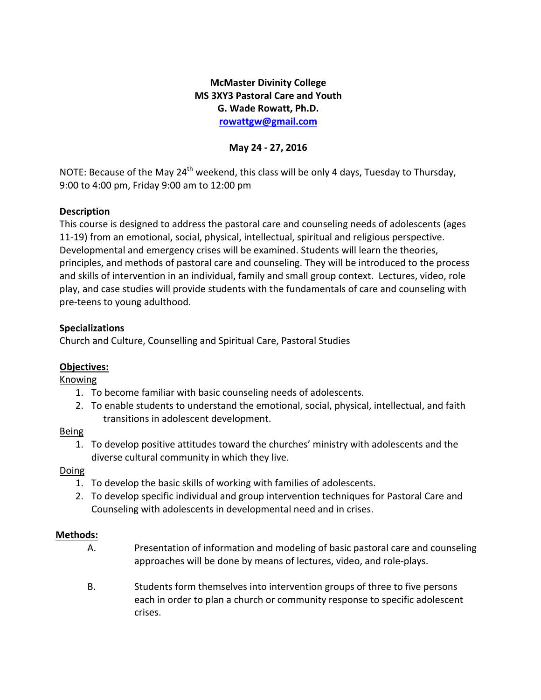# **McMaster Divinity College MS 3XY3 Pastoral Care and Youth G. Wade Rowatt, Ph.D. rowattgw@gmail.com**

### **May 24 - 27, 2016**

NOTE: Because of the May 24<sup>th</sup> weekend, this class will be only 4 days, Tuesday to Thursday, 9:00 to 4:00 pm, Friday 9:00 am to 12:00 pm

### **Description**

This course is designed to address the pastoral care and counseling needs of adolescents (ages 11-19) from an emotional, social, physical, intellectual, spiritual and religious perspective. Developmental and emergency crises will be examined. Students will learn the theories, principles, and methods of pastoral care and counseling. They will be introduced to the process and skills of intervention in an individual, family and small group context. Lectures, video, role play, and case studies will provide students with the fundamentals of care and counseling with pre-teens to young adulthood.

## **Specializations**

Church and Culture, Counselling and Spiritual Care, Pastoral Studies

# **Objectives:**

Knowing

- 1. To become familiar with basic counseling needs of adolescents.
- 2. To enable students to understand the emotional, social, physical, intellectual, and faith transitions in adolescent development.

### Being

1. To develop positive attitudes toward the churches' ministry with adolescents and the diverse cultural community in which they live.

# Doing

- 1. To develop the basic skills of working with families of adolescents.
- 2. To develop specific individual and group intervention techniques for Pastoral Care and Counseling with adolescents in developmental need and in crises.

# **Methods:**

- A. Presentation of information and modeling of basic pastoral care and counseling approaches will be done by means of lectures, video, and role-plays.
- B. Students form themselves into intervention groups of three to five persons each in order to plan a church or community response to specific adolescent crises.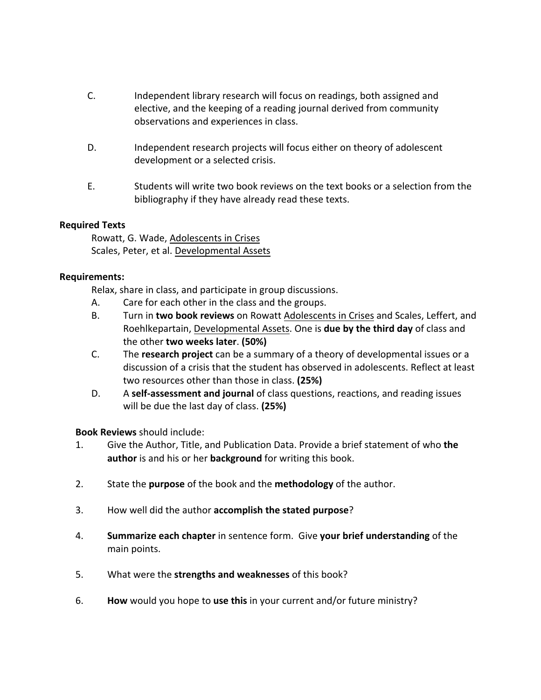- C. Independent library research will focus on readings, both assigned and elective, and the keeping of a reading journal derived from community observations and experiences in class.
- D. Independent research projects will focus either on theory of adolescent development or a selected crisis.
- E. Students will write two book reviews on the text books or a selection from the bibliography if they have already read these texts.

### **Required Texts**

Rowatt, G. Wade, Adolescents in Crises Scales, Peter, et al. Developmental Assets

#### **Requirements:**

Relax, share in class, and participate in group discussions.

- A. Care for each other in the class and the groups.
- B. Turn in **two book reviews** on Rowatt Adolescents in Crises and Scales, Leffert, and Roehlkepartain, Developmental Assets. One is **due by the third day** of class and the other **two weeks later**. **(50%)**
- C. The **research project** can be a summary of a theory of developmental issues or a discussion of a crisis that the student has observed in adolescents. Reflect at least two resources other than those in class. **(25%)**
- D. A self-assessment and journal of class questions, reactions, and reading issues will be due the last day of class. **(25%)**

**Book Reviews** should include:

- 1. Give the Author, Title, and Publication Data. Provide a brief statement of who the **author** is and his or her **background** for writing this book.
- 2. State the **purpose** of the book and the **methodology** of the author.
- 3. How well did the author **accomplish the stated purpose**?
- 4. **Summarize each chapter** in sentence form. Give **your brief understanding** of the main points.
- 5. What were the **strengths and weaknesses** of this book?
- 6. **How** would you hope to use this in your current and/or future ministry?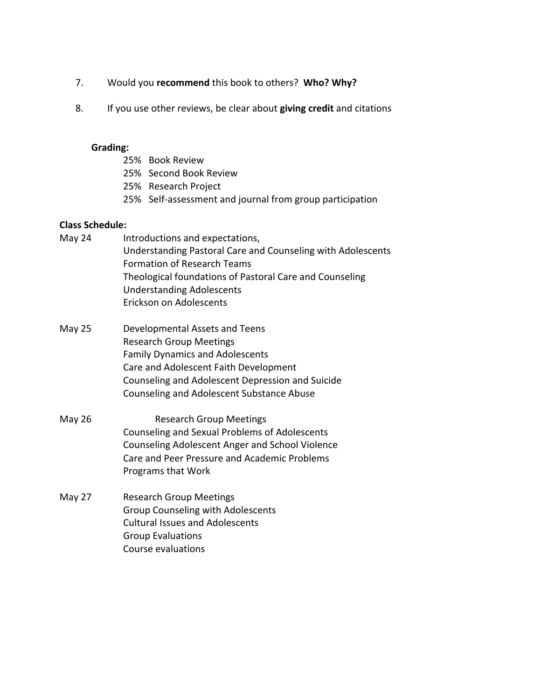- 7. Would you **recommend** this book to others? Who? Why?
- 8. If you use other reviews, be clear about **giving credit** and citations

#### **Grading:**

- 25% Book Review
- 25% Second Book Review
- 25% Research Project
- 25% Self-assessment and journal from group participation

#### **Class Schedule:**

| May 24 | Introductions and expectations,                             |
|--------|-------------------------------------------------------------|
|        | Understanding Pastoral Care and Counseling with Adolescents |
|        | <b>Formation of Research Teams</b>                          |
|        | Theological foundations of Pastoral Care and Counseling     |
|        | <b>Understanding Adolescents</b>                            |
|        | Erickson on Adolescents                                     |

- May 25 Developmental Assets and Teens Research Group Meetings Family Dynamics and Adolescents Care and Adolescent Faith Development Counseling and Adolescent Depression and Suicide Counseling and Adolescent Substance Abuse
- May 26 Research Group Meetings Counseling and Sexual Problems of Adolescents Counseling Adolescent Anger and School Violence Care and Peer Pressure and Academic Problems Programs that Work
- May 27 Research Group Meetings Group Counseling with Adolescents Cultural Issues and Adolescents Group Evaluations Course evaluations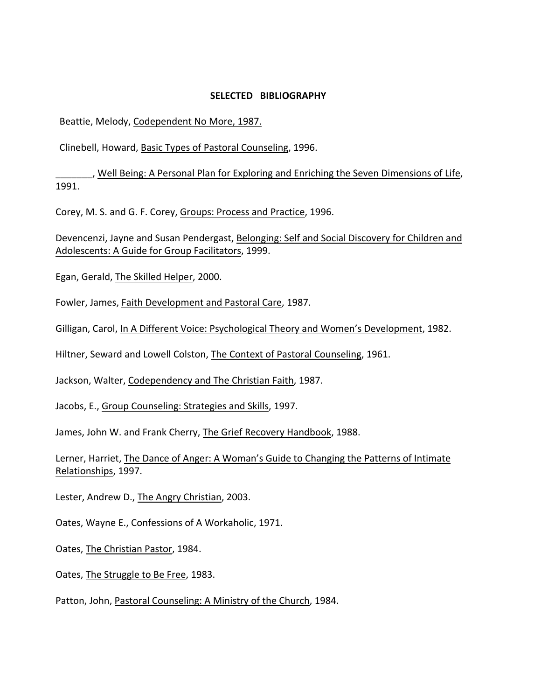#### **SELECTED BIBLIOGRAPHY**

Beattie, Melody, Codependent No More, 1987.

Clinebell, Howard, Basic Types of Pastoral Counseling, 1996.

\_, Well Being: A Personal Plan for Exploring and Enriching the Seven Dimensions of Life, 1991.

Corey, M. S. and G. F. Corey, Groups: Process and Practice, 1996.

Devencenzi, Jayne and Susan Pendergast, Belonging: Self and Social Discovery for Children and Adolescents: A Guide for Group Facilitators, 1999.

Egan, Gerald, The Skilled Helper, 2000.

Fowler, James, Faith Development and Pastoral Care, 1987.

Gilligan, Carol, In A Different Voice: Psychological Theory and Women's Development, 1982.

Hiltner, Seward and Lowell Colston, The Context of Pastoral Counseling, 1961.

Jackson, Walter, Codependency and The Christian Faith, 1987.

Jacobs, E., Group Counseling: Strategies and Skills, 1997.

James, John W. and Frank Cherry, The Grief Recovery Handbook, 1988.

Lerner, Harriet, The Dance of Anger: A Woman's Guide to Changing the Patterns of Intimate Relationships, 1997.

Lester, Andrew D., The Angry Christian, 2003.

Oates, Wayne E., Confessions of A Workaholic, 1971.

Oates, The Christian Pastor, 1984.

Oates, The Struggle to Be Free, 1983.

Patton, John, Pastoral Counseling: A Ministry of the Church, 1984.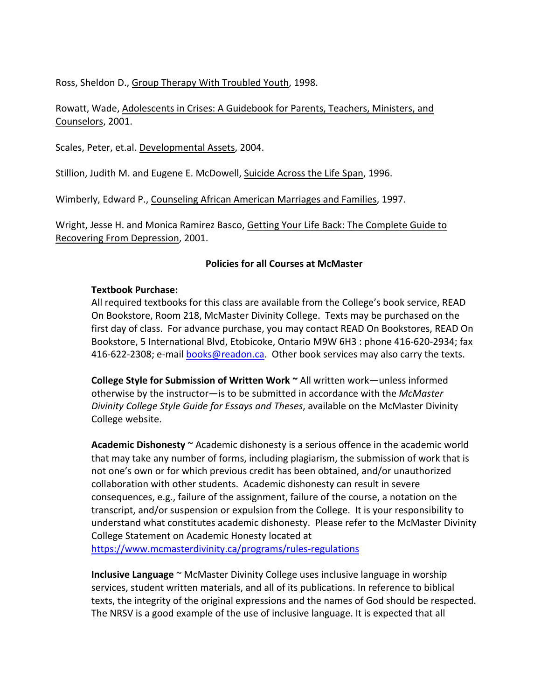Ross, Sheldon D., Group Therapy With Troubled Youth, 1998.

Rowatt, Wade, Adolescents in Crises: A Guidebook for Parents, Teachers, Ministers, and Counselors, 2001.

Scales, Peter, et.al. Developmental Assets, 2004.

Stillion, Judith M. and Eugene E. McDowell, Suicide Across the Life Span, 1996.

Wimberly, Edward P., Counseling African American Marriages and Families, 1997.

Wright, Jesse H. and Monica Ramirez Basco, Getting Your Life Back: The Complete Guide to Recovering From Depression, 2001.

#### **Policies for all Courses at McMaster**

### **Textbook Purchase:**

All required textbooks for this class are available from the College's book service, READ On Bookstore, Room 218, McMaster Divinity College. Texts may be purchased on the first day of class. For advance purchase, you may contact READ On Bookstores, READ On Bookstore, 5 International Blvd, Etobicoke, Ontario M9W 6H3 : phone 416-620-2934; fax 416-622-2308; e-mail books@readon.ca. Other book services may also carry the texts.

**College Style for Submission of Written Work ~ All written work—unless informed** otherwise by the instructor-is to be submitted in accordance with the McMaster *Divinity College Style Guide for Essays and Theses,* available on the McMaster Divinity College website.

**Academic Dishonesty**  $\sim$  Academic dishonesty is a serious offence in the academic world that may take any number of forms, including plagiarism, the submission of work that is not one's own or for which previous credit has been obtained, and/or unauthorized collaboration with other students. Academic dishonesty can result in severe consequences, e.g., failure of the assignment, failure of the course, a notation on the transcript, and/or suspension or expulsion from the College. It is your responsibility to understand what constitutes academic dishonesty. Please refer to the McMaster Divinity College Statement on Academic Honesty located at

https://www.mcmasterdivinity.ca/programs/rules-regulations

**Inclusive Language** ~ McMaster Divinity College uses inclusive language in worship services, student written materials, and all of its publications. In reference to biblical texts, the integrity of the original expressions and the names of God should be respected. The NRSV is a good example of the use of inclusive language. It is expected that all